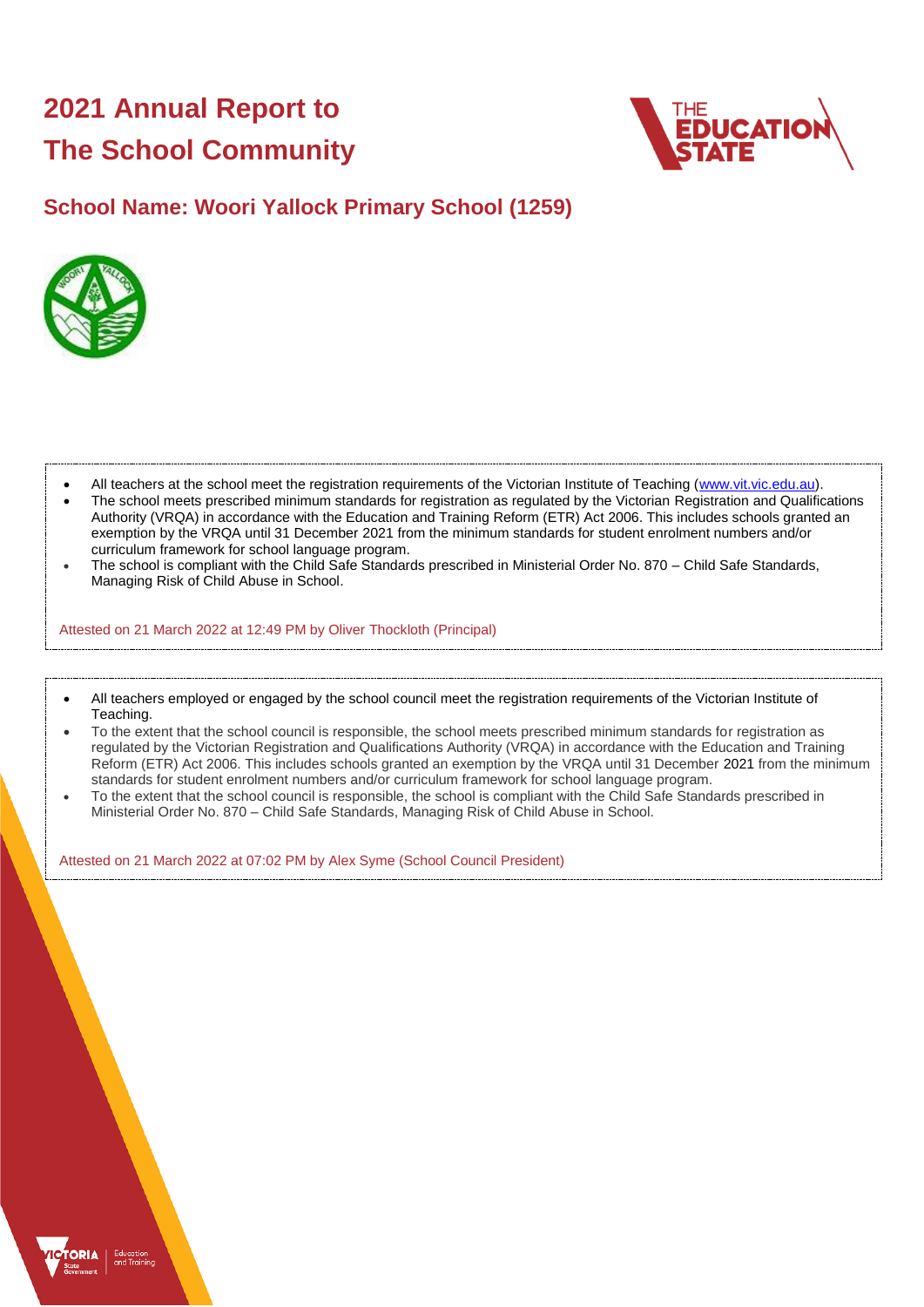# **2021 Annual Report to The School Community**



## **School Name: Woori Yallock Primary School (1259)**



- All teachers at the school meet the registration requirements of the Victorian Institute of Teaching [\(www.vit.vic.edu.au\)](https://www.vit.vic.edu.au/).
- The school meets prescribed minimum standards for registration as regulated by the Victorian Registration and Qualifications Authority (VRQA) in accordance with the Education and Training Reform (ETR) Act 2006. This includes schools granted an exemption by the VRQA until 31 December 2021 from the minimum standards for student enrolment numbers and/or curriculum framework for school language program.
- The school is compliant with the Child Safe Standards prescribed in Ministerial Order No. 870 Child Safe Standards, Managing Risk of Child Abuse in School.

Attested on 21 March 2022 at 12:49 PM by Oliver Thockloth (Principal)

- All teachers employed or engaged by the school council meet the registration requirements of the Victorian Institute of Teaching.
- To the extent that the school council is responsible, the school meets prescribed minimum standards for registration as regulated by the Victorian Registration and Qualifications Authority (VRQA) in accordance with the Education and Training Reform (ETR) Act 2006. This includes schools granted an exemption by the VRQA until 31 December 2021 from the minimum standards for student enrolment numbers and/or curriculum framework for school language program.
- To the extent that the school council is responsible, the school is compliant with the Child Safe Standards prescribed in Ministerial Order No. 870 – Child Safe Standards, Managing Risk of Child Abuse in School.

Attested on 21 March 2022 at 07:02 PM by Alex Syme (School Council President)

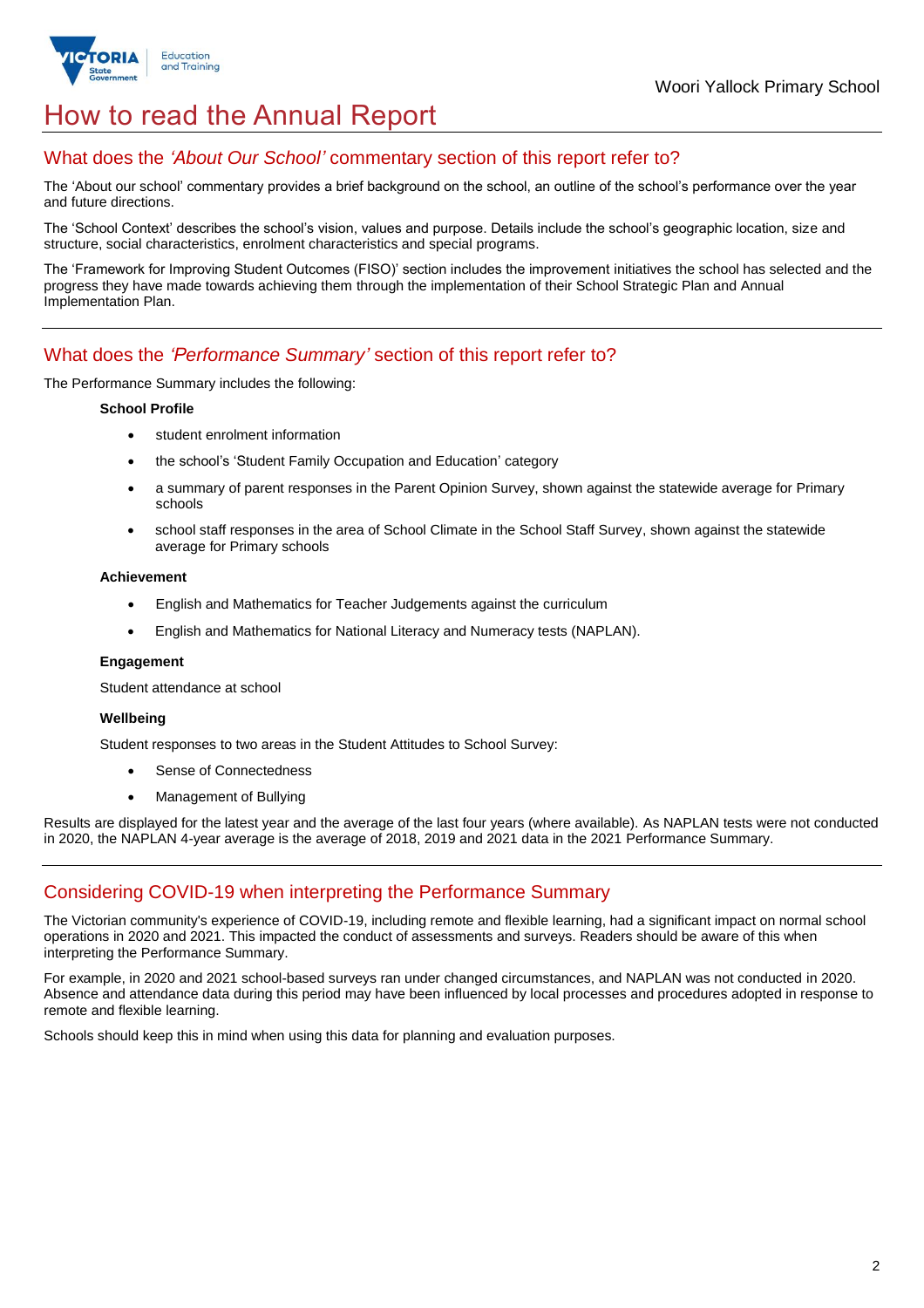

## How to read the Annual Report

## What does the *'About Our School'* commentary section of this report refer to?

The 'About our school' commentary provides a brief background on the school, an outline of the school's performance over the year and future directions.

The 'School Context' describes the school's vision, values and purpose. Details include the school's geographic location, size and structure, social characteristics, enrolment characteristics and special programs.

The 'Framework for Improving Student Outcomes (FISO)' section includes the improvement initiatives the school has selected and the progress they have made towards achieving them through the implementation of their School Strategic Plan and Annual Implementation Plan.

## What does the *'Performance Summary'* section of this report refer to?

The Performance Summary includes the following:

#### **School Profile**

- student enrolment information
- the school's 'Student Family Occupation and Education' category
- a summary of parent responses in the Parent Opinion Survey, shown against the statewide average for Primary schools
- school staff responses in the area of School Climate in the School Staff Survey, shown against the statewide average for Primary schools

#### **Achievement**

- English and Mathematics for Teacher Judgements against the curriculum
- English and Mathematics for National Literacy and Numeracy tests (NAPLAN).

#### **Engagement**

Student attendance at school

#### **Wellbeing**

Student responses to two areas in the Student Attitudes to School Survey:

- Sense of Connectedness
- Management of Bullying

Results are displayed for the latest year and the average of the last four years (where available). As NAPLAN tests were not conducted in 2020, the NAPLAN 4-year average is the average of 2018, 2019 and 2021 data in the 2021 Performance Summary.

## Considering COVID-19 when interpreting the Performance Summary

The Victorian community's experience of COVID-19, including remote and flexible learning, had a significant impact on normal school operations in 2020 and 2021. This impacted the conduct of assessments and surveys. Readers should be aware of this when interpreting the Performance Summary.

For example, in 2020 and 2021 school-based surveys ran under changed circumstances, and NAPLAN was not conducted in 2020. Absence and attendance data during this period may have been influenced by local processes and procedures adopted in response to remote and flexible learning.

Schools should keep this in mind when using this data for planning and evaluation purposes.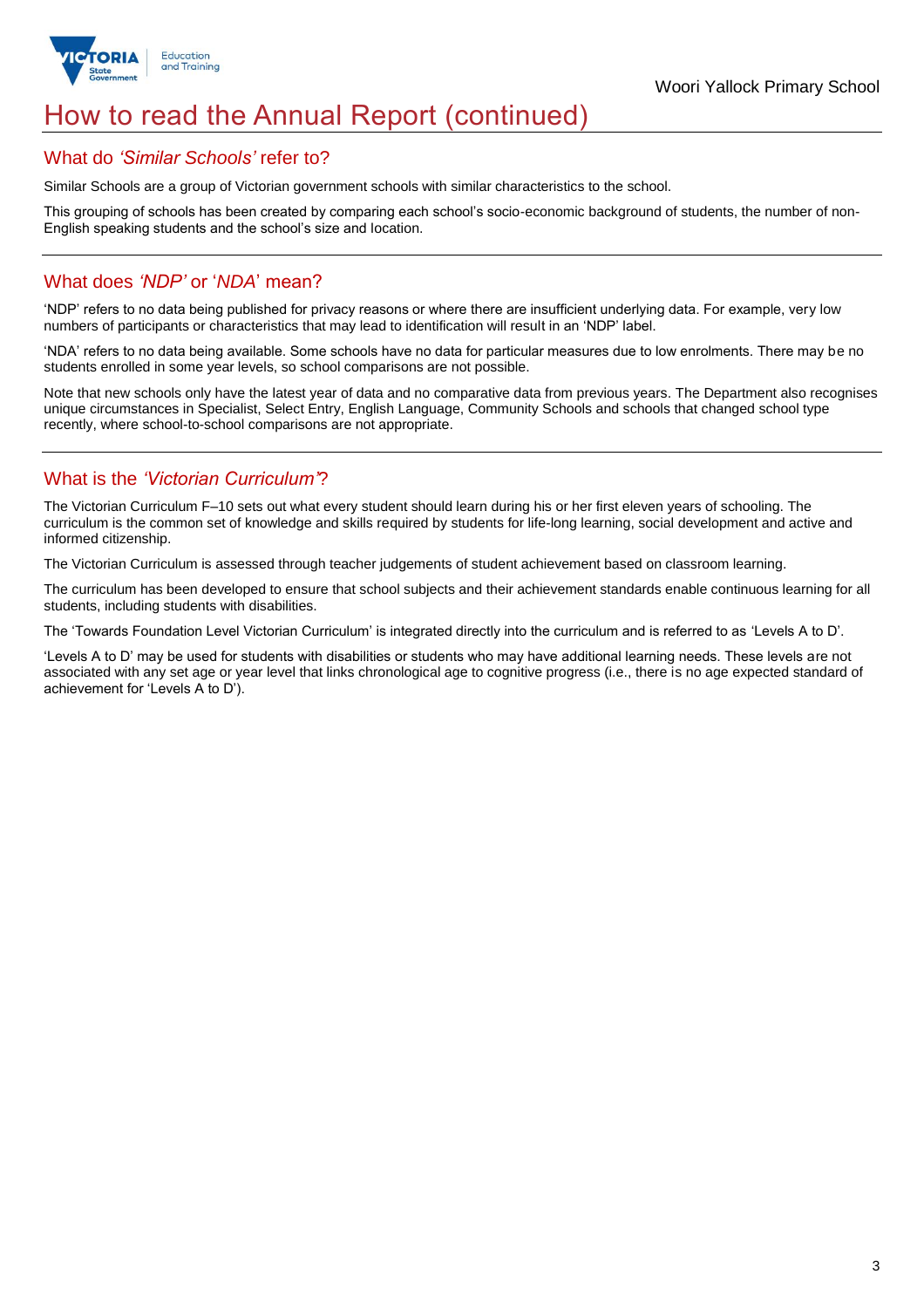

## How to read the Annual Report (continued)

## What do *'Similar Schools'* refer to?

Similar Schools are a group of Victorian government schools with similar characteristics to the school.

This grouping of schools has been created by comparing each school's socio-economic background of students, the number of non-English speaking students and the school's size and location.

## What does *'NDP'* or '*NDA*' mean?

'NDP' refers to no data being published for privacy reasons or where there are insufficient underlying data. For example, very low numbers of participants or characteristics that may lead to identification will result in an 'NDP' label.

'NDA' refers to no data being available. Some schools have no data for particular measures due to low enrolments. There may be no students enrolled in some year levels, so school comparisons are not possible.

Note that new schools only have the latest year of data and no comparative data from previous years. The Department also recognises unique circumstances in Specialist, Select Entry, English Language, Community Schools and schools that changed school type recently, where school-to-school comparisons are not appropriate.

## What is the *'Victorian Curriculum'*?

The Victorian Curriculum F–10 sets out what every student should learn during his or her first eleven years of schooling. The curriculum is the common set of knowledge and skills required by students for life-long learning, social development and active and informed citizenship.

The Victorian Curriculum is assessed through teacher judgements of student achievement based on classroom learning.

The curriculum has been developed to ensure that school subjects and their achievement standards enable continuous learning for all students, including students with disabilities.

The 'Towards Foundation Level Victorian Curriculum' is integrated directly into the curriculum and is referred to as 'Levels A to D'.

'Levels A to D' may be used for students with disabilities or students who may have additional learning needs. These levels are not associated with any set age or year level that links chronological age to cognitive progress (i.e., there is no age expected standard of achievement for 'Levels A to D').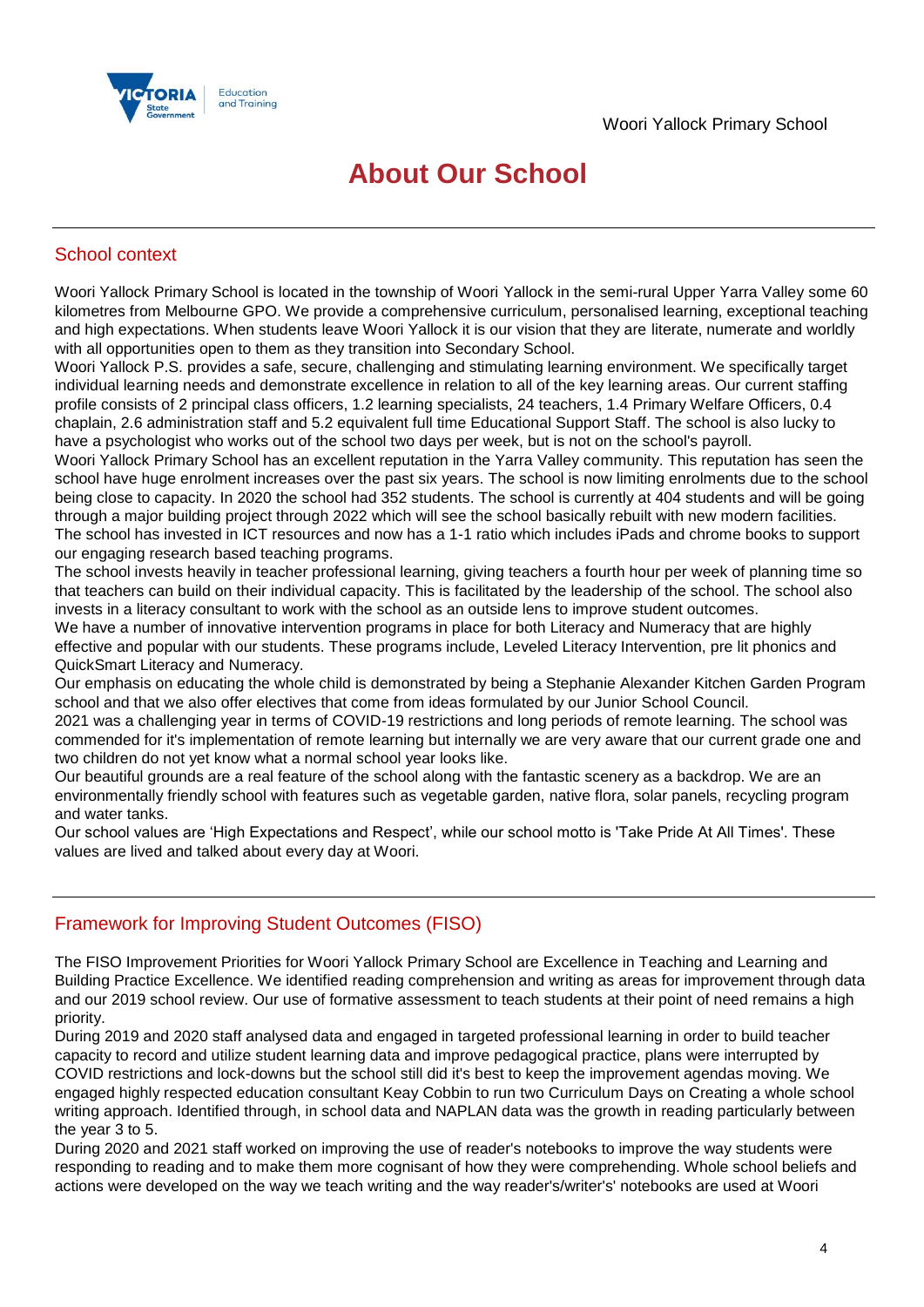

## **About Our School**

## School context

Woori Yallock Primary School is located in the township of Woori Yallock in the semi-rural Upper Yarra Valley some 60 kilometres from Melbourne GPO. We provide a comprehensive curriculum, personalised learning, exceptional teaching and high expectations. When students leave Woori Yallock it is our vision that they are literate, numerate and worldly with all opportunities open to them as they transition into Secondary School.

Woori Yallock P.S. provides a safe, secure, challenging and stimulating learning environment. We specifically target individual learning needs and demonstrate excellence in relation to all of the key learning areas. Our current staffing profile consists of 2 principal class officers, 1.2 learning specialists, 24 teachers, 1.4 Primary Welfare Officers, 0.4 chaplain, 2.6 administration staff and 5.2 equivalent full time Educational Support Staff. The school is also lucky to have a psychologist who works out of the school two days per week, but is not on the school's payroll.

Woori Yallock Primary School has an excellent reputation in the Yarra Valley community. This reputation has seen the school have huge enrolment increases over the past six years. The school is now limiting enrolments due to the school being close to capacity. In 2020 the school had 352 students. The school is currently at 404 students and will be going through a major building project through 2022 which will see the school basically rebuilt with new modern facilities. The school has invested in ICT resources and now has a 1-1 ratio which includes iPads and chrome books to support our engaging research based teaching programs.

The school invests heavily in teacher professional learning, giving teachers a fourth hour per week of planning time so that teachers can build on their individual capacity. This is facilitated by the leadership of the school. The school also invests in a literacy consultant to work with the school as an outside lens to improve student outcomes.

We have a number of innovative intervention programs in place for both Literacy and Numeracy that are highly effective and popular with our students. These programs include, Leveled Literacy Intervention, pre lit phonics and QuickSmart Literacy and Numeracy.

Our emphasis on educating the whole child is demonstrated by being a Stephanie Alexander Kitchen Garden Program school and that we also offer electives that come from ideas formulated by our Junior School Council.

2021 was a challenging year in terms of COVID-19 restrictions and long periods of remote learning. The school was commended for it's implementation of remote learning but internally we are very aware that our current grade one and two children do not yet know what a normal school year looks like.

Our beautiful grounds are a real feature of the school along with the fantastic scenery as a backdrop. We are an environmentally friendly school with features such as vegetable garden, native flora, solar panels, recycling program and water tanks.

Our school values are 'High Expectations and Respect', while our school motto is 'Take Pride At All Times'. These values are lived and talked about every day at Woori.

## Framework for Improving Student Outcomes (FISO)

The FISO Improvement Priorities for Woori Yallock Primary School are Excellence in Teaching and Learning and Building Practice Excellence. We identified reading comprehension and writing as areas for improvement through data and our 2019 school review. Our use of formative assessment to teach students at their point of need remains a high priority.

During 2019 and 2020 staff analysed data and engaged in targeted professional learning in order to build teacher capacity to record and utilize student learning data and improve pedagogical practice, plans were interrupted by COVID restrictions and lock-downs but the school still did it's best to keep the improvement agendas moving. We engaged highly respected education consultant Keay Cobbin to run two Curriculum Days on Creating a whole school writing approach. Identified through, in school data and NAPLAN data was the growth in reading particularly between the year 3 to 5.

During 2020 and 2021 staff worked on improving the use of reader's notebooks to improve the way students were responding to reading and to make them more cognisant of how they were comprehending. Whole school beliefs and actions were developed on the way we teach writing and the way reader's/writer's' notebooks are used at Woori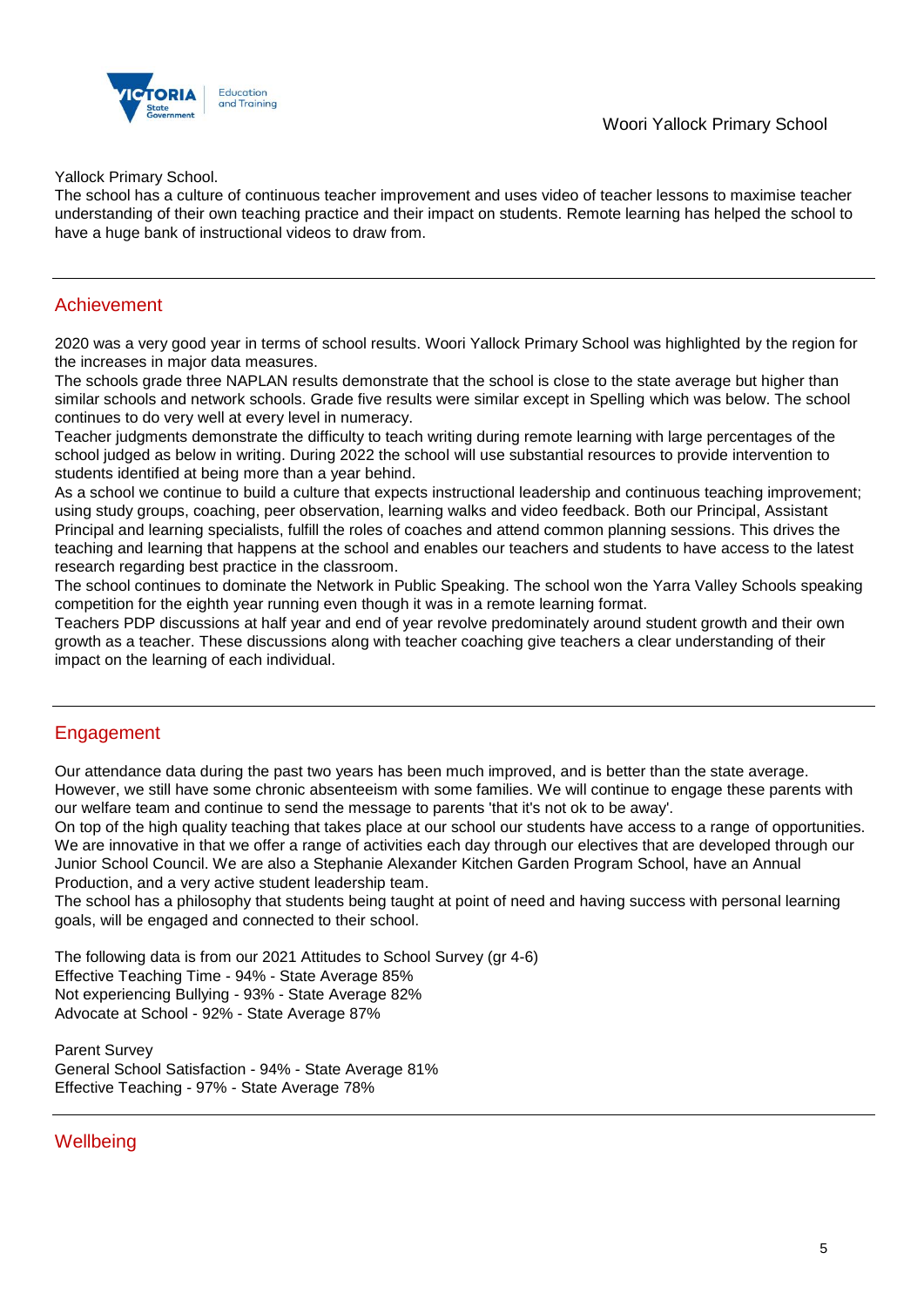

Yallock Primary School.

The school has a culture of continuous teacher improvement and uses video of teacher lessons to maximise teacher understanding of their own teaching practice and their impact on students. Remote learning has helped the school to have a huge bank of instructional videos to draw from.

#### Achievement

2020 was a very good year in terms of school results. Woori Yallock Primary School was highlighted by the region for the increases in major data measures.

The schools grade three NAPLAN results demonstrate that the school is close to the state average but higher than similar schools and network schools. Grade five results were similar except in Spelling which was below. The school continues to do very well at every level in numeracy.

Teacher judgments demonstrate the difficulty to teach writing during remote learning with large percentages of the school judged as below in writing. During 2022 the school will use substantial resources to provide intervention to students identified at being more than a year behind.

As a school we continue to build a culture that expects instructional leadership and continuous teaching improvement; using study groups, coaching, peer observation, learning walks and video feedback. Both our Principal, Assistant Principal and learning specialists, fulfill the roles of coaches and attend common planning sessions. This drives the teaching and learning that happens at the school and enables our teachers and students to have access to the latest research regarding best practice in the classroom.

The school continues to dominate the Network in Public Speaking. The school won the Yarra Valley Schools speaking competition for the eighth year running even though it was in a remote learning format.

Teachers PDP discussions at half year and end of year revolve predominately around student growth and their own growth as a teacher. These discussions along with teacher coaching give teachers a clear understanding of their impact on the learning of each individual.

## Engagement

Our attendance data during the past two years has been much improved, and is better than the state average. However, we still have some chronic absenteeism with some families. We will continue to engage these parents with our welfare team and continue to send the message to parents 'that it's not ok to be away'.

On top of the high quality teaching that takes place at our school our students have access to a range of opportunities. We are innovative in that we offer a range of activities each day through our electives that are developed through our Junior School Council. We are also a Stephanie Alexander Kitchen Garden Program School, have an Annual Production, and a very active student leadership team.

The school has a philosophy that students being taught at point of need and having success with personal learning goals, will be engaged and connected to their school.

The following data is from our 2021 Attitudes to School Survey (gr 4-6) Effective Teaching Time - 94% - State Average 85% Not experiencing Bullying - 93% - State Average 82% Advocate at School - 92% - State Average 87%

Parent Survey General School Satisfaction - 94% - State Average 81% Effective Teaching - 97% - State Average 78%

## **Wellbeing**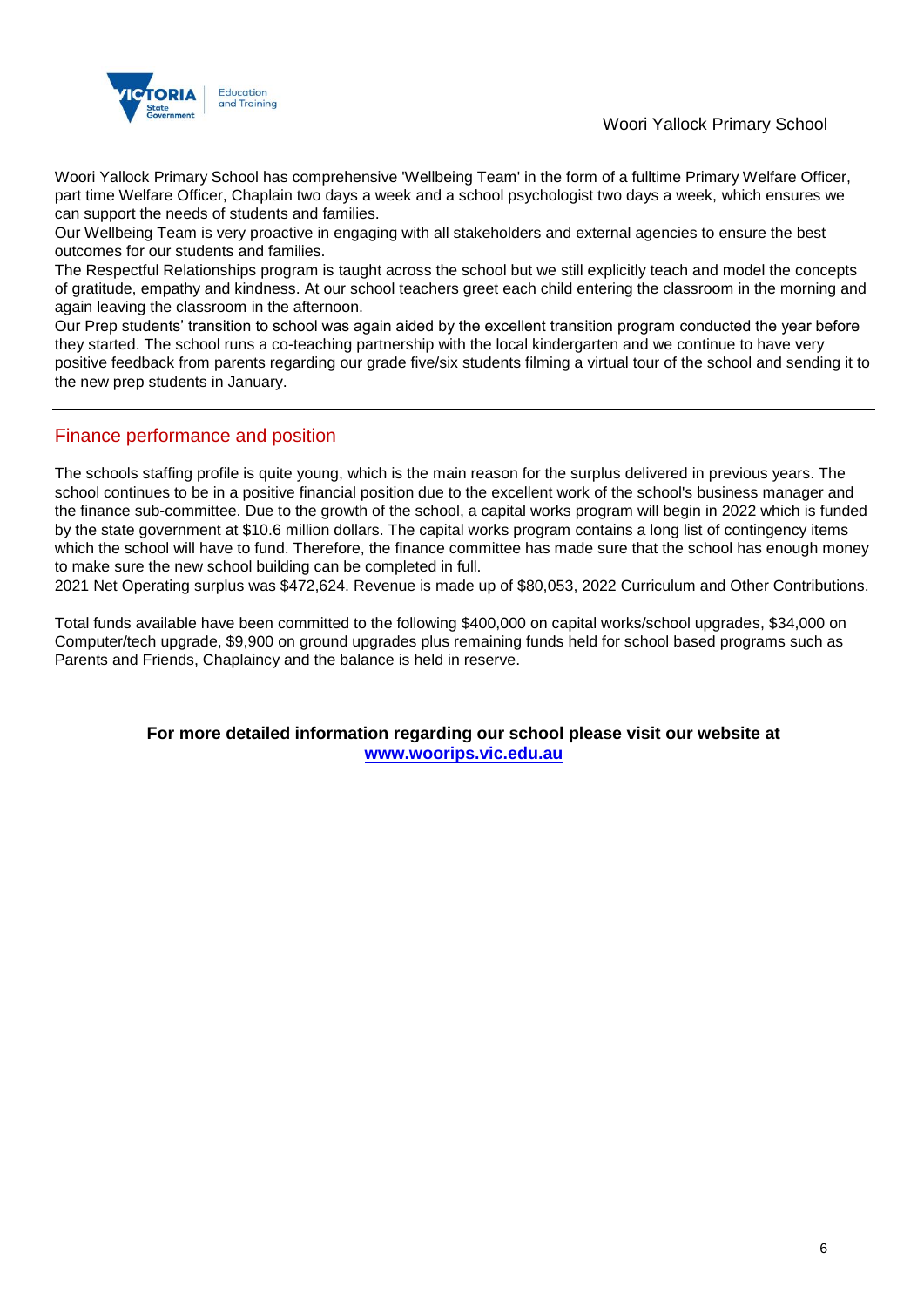

Woori Yallock Primary School has comprehensive 'Wellbeing Team' in the form of a fulltime Primary Welfare Officer, part time Welfare Officer, Chaplain two days a week and a school psychologist two days a week, which ensures we can support the needs of students and families.

Our Wellbeing Team is very proactive in engaging with all stakeholders and external agencies to ensure the best outcomes for our students and families.

The Respectful Relationships program is taught across the school but we still explicitly teach and model the concepts of gratitude, empathy and kindness. At our school teachers greet each child entering the classroom in the morning and again leaving the classroom in the afternoon.

Our Prep students' transition to school was again aided by the excellent transition program conducted the year before they started. The school runs a co-teaching partnership with the local kindergarten and we continue to have very positive feedback from parents regarding our grade five/six students filming a virtual tour of the school and sending it to the new prep students in January.

## Finance performance and position

The schools staffing profile is quite young, which is the main reason for the surplus delivered in previous years. The school continues to be in a positive financial position due to the excellent work of the school's business manager and the finance sub-committee. Due to the growth of the school, a capital works program will begin in 2022 which is funded by the state government at \$10.6 million dollars. The capital works program contains a long list of contingency items which the school will have to fund. Therefore, the finance committee has made sure that the school has enough money to make sure the new school building can be completed in full.

2021 Net Operating surplus was \$472,624. Revenue is made up of \$80,053, 2022 Curriculum and Other Contributions.

Total funds available have been committed to the following \$400,000 on capital works/school upgrades, \$34,000 on Computer/tech upgrade, \$9,900 on ground upgrades plus remaining funds held for school based programs such as Parents and Friends, Chaplaincy and the balance is held in reserve.

> **For more detailed information regarding our school please visit our website at [www.woorips.vic.edu.au](file:///C:/Users/02411765/Downloads/www.woorips.vic.edu.au)**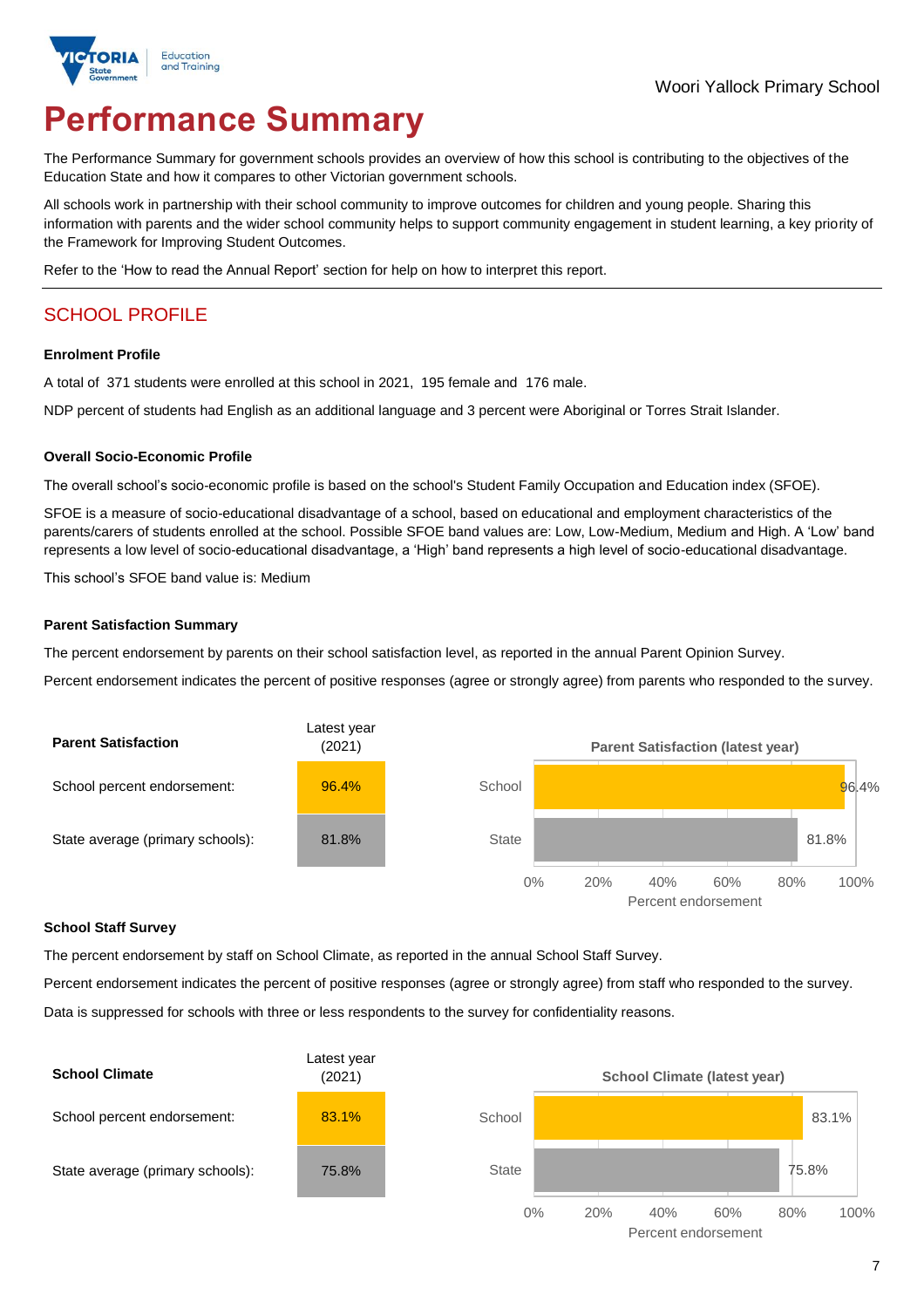

# **Performance Summary**

The Performance Summary for government schools provides an overview of how this school is contributing to the objectives of the Education State and how it compares to other Victorian government schools.

All schools work in partnership with their school community to improve outcomes for children and young people. Sharing this information with parents and the wider school community helps to support community engagement in student learning, a key priority of the Framework for Improving Student Outcomes.

Refer to the 'How to read the Annual Report' section for help on how to interpret this report.

## SCHOOL PROFILE

#### **Enrolment Profile**

A total of 371 students were enrolled at this school in 2021, 195 female and 176 male.

NDP percent of students had English as an additional language and 3 percent were Aboriginal or Torres Strait Islander.

#### **Overall Socio-Economic Profile**

The overall school's socio-economic profile is based on the school's Student Family Occupation and Education index (SFOE).

SFOE is a measure of socio-educational disadvantage of a school, based on educational and employment characteristics of the parents/carers of students enrolled at the school. Possible SFOE band values are: Low, Low-Medium, Medium and High. A 'Low' band represents a low level of socio-educational disadvantage, a 'High' band represents a high level of socio-educational disadvantage.

This school's SFOE band value is: Medium

#### **Parent Satisfaction Summary**

The percent endorsement by parents on their school satisfaction level, as reported in the annual Parent Opinion Survey.

Percent endorsement indicates the percent of positive responses (agree or strongly agree) from parents who responded to the survey.



#### **School Staff Survey**

The percent endorsement by staff on School Climate, as reported in the annual School Staff Survey.

Percent endorsement indicates the percent of positive responses (agree or strongly agree) from staff who responded to the survey. Data is suppressed for schools with three or less respondents to the survey for confidentiality reasons.

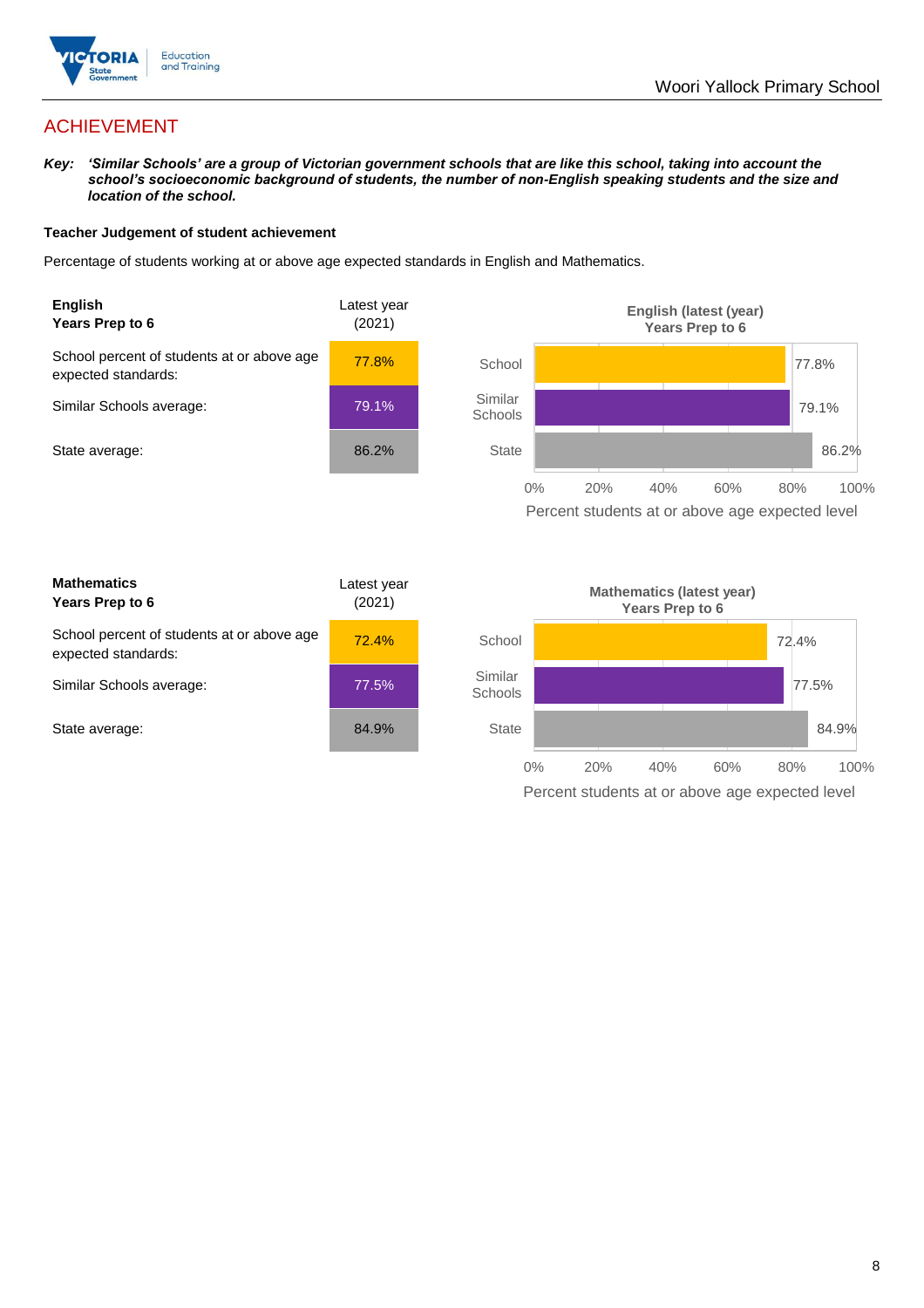

## ACHIEVEMENT

*Key: 'Similar Schools' are a group of Victorian government schools that are like this school, taking into account the school's socioeconomic background of students, the number of non-English speaking students and the size and location of the school.*

#### **Teacher Judgement of student achievement**

Percentage of students working at or above age expected standards in English and Mathematics.



Percent students at or above age expected level

| <b>Mathematics</b><br>Years Prep to 6                             | Latest year<br>(2021) |
|-------------------------------------------------------------------|-----------------------|
| School percent of students at or above age<br>expected standards: | 72.4%                 |
| Similar Schools average:                                          | 77.5%                 |
| State average:                                                    | 84.9%                 |

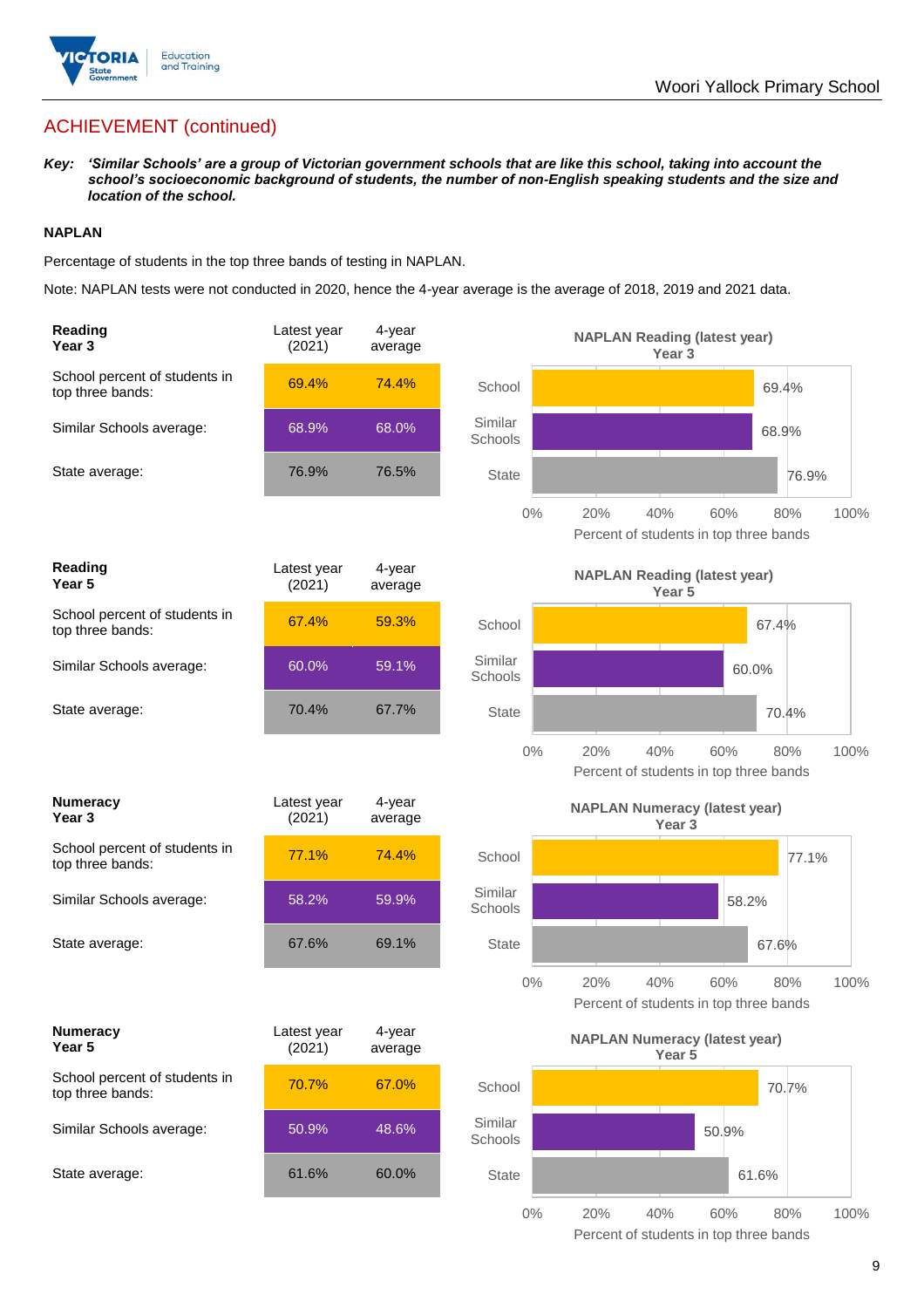

## ACHIEVEMENT (continued)

*Key: 'Similar Schools' are a group of Victorian government schools that are like this school, taking into account the school's socioeconomic background of students, the number of non-English speaking students and the size and location of the school.*

#### **NAPLAN**

Percentage of students in the top three bands of testing in NAPLAN.

Note: NAPLAN tests were not conducted in 2020, hence the 4-year average is the average of 2018, 2019 and 2021 data.

| Reading<br>Year 3                                 | Latest year<br>(2021) | 4-year<br>average |                    | <b>NAPLAN Reading (latest year)</b><br>Year 3                              |
|---------------------------------------------------|-----------------------|-------------------|--------------------|----------------------------------------------------------------------------|
| School percent of students in<br>top three bands: | 69.4%                 | 74.4%             | School             | 69.4%                                                                      |
| Similar Schools average:                          | 68.9%                 | 68.0%             | Similar<br>Schools | 68.9%                                                                      |
| State average:                                    | 76.9%                 | 76.5%             | <b>State</b>       | 76.9%                                                                      |
|                                                   |                       |                   | $0\%$              | 20%<br>40%<br>60%<br>80%<br>100%<br>Percent of students in top three bands |
| Reading<br>Year 5                                 | Latest year<br>(2021) | 4-year<br>average |                    | <b>NAPLAN Reading (latest year)</b><br>Year 5                              |
| School percent of students in<br>top three bands: | 67.4%                 | 59.3%             | School             | 67.4%                                                                      |
| Similar Schools average:                          | 60.0%                 | 59.1%             | Similar<br>Schools | 60.0%                                                                      |
| State average:                                    | 70.4%                 | 67.7%             | <b>State</b>       | 70.4%                                                                      |
|                                                   |                       |                   | $0\%$              | 20%<br>40%<br>60%<br>80%<br>100%<br>Percent of students in top three bands |
| <b>Numeracy</b><br>Year 3                         | Latest year<br>(2021) | 4-year<br>average |                    | <b>NAPLAN Numeracy (latest year)</b><br>Year <sub>3</sub>                  |
| School percent of students in<br>top three bands: | 77.1%                 | 74.4%             | School             | 77.1%                                                                      |
| Similar Schools average:                          | 58.2%                 | 59.9%             | Similar<br>Schools | 58.2%                                                                      |
| State average:                                    | 67.6%                 | 69.1%             | <b>State</b>       | 67.6%                                                                      |
|                                                   |                       |                   | $0\%$              | 60%<br>100%<br>20%<br>40%<br>80%<br>Percent of students in top three bands |
| <b>Numeracy</b><br>Year 5                         | Latest year<br>(2021) | 4-year<br>average |                    | <b>NAPLAN Numeracy (latest year)</b><br>Year 5                             |
| School percent of students in<br>top three bands: | 70.7%                 | 67.0%             | School             | 70.7%                                                                      |
| Similar Schools average:                          | 50.9%                 | 48.6%             | Similar<br>Schools | 50.9%                                                                      |
| State average:                                    | 61.6%                 | 60.0%             | <b>State</b>       | 61.6%                                                                      |
|                                                   |                       |                   | $0\%$              | 20%<br>40%<br>60%<br>80%<br>100%                                           |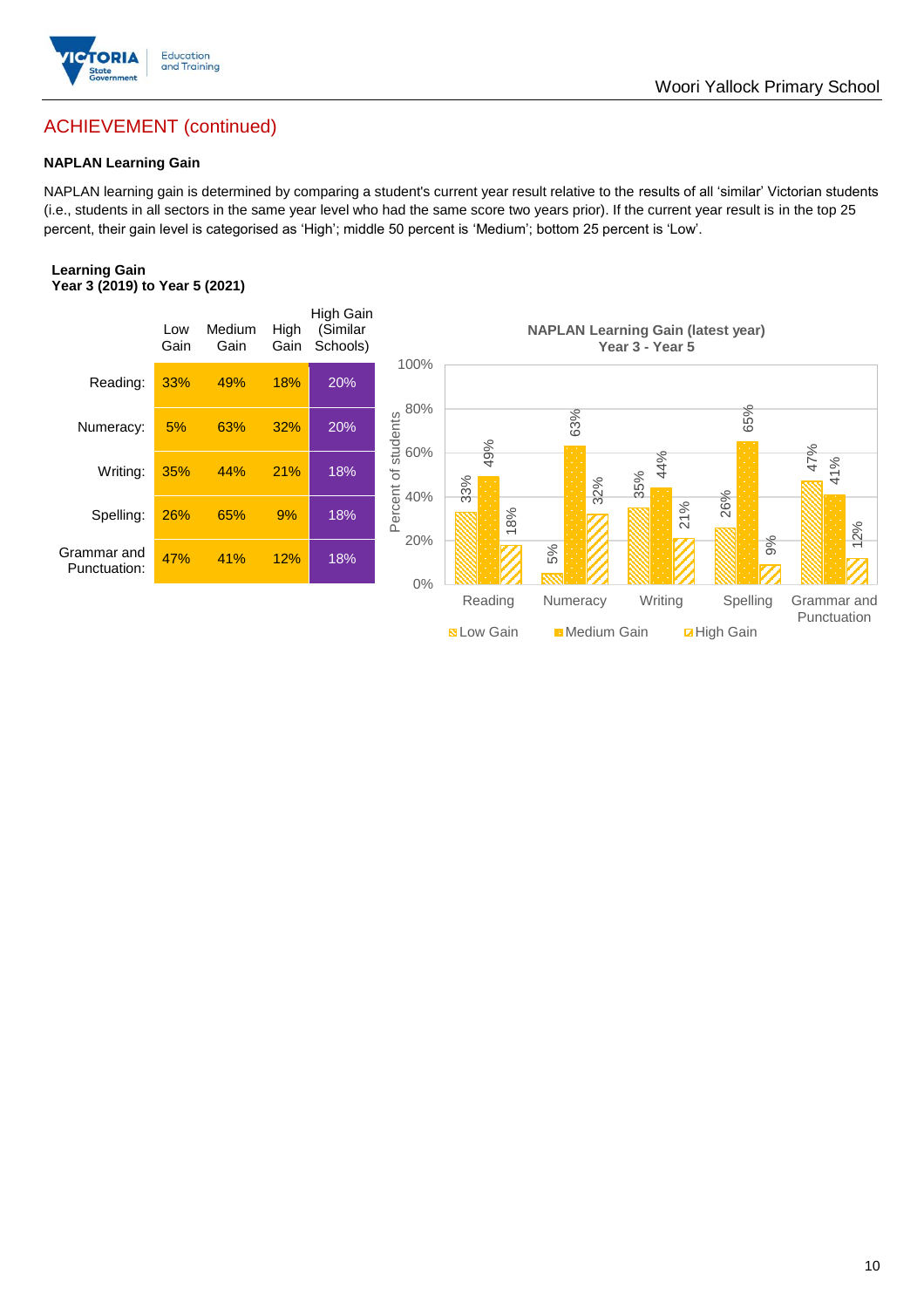

## ACHIEVEMENT (continued)

#### **NAPLAN Learning Gain**

NAPLAN learning gain is determined by comparing a student's current year result relative to the results of all 'similar' Victorian students (i.e., students in all sectors in the same year level who had the same score two years prior). If the current year result is in the top 25 percent, their gain level is categorised as 'High'; middle 50 percent is 'Medium'; bottom 25 percent is 'Low'.

#### **Learning Gain Year 3 (2019) to Year 5 (2021)**



**BLow Gain** Medium Gain **Example 10**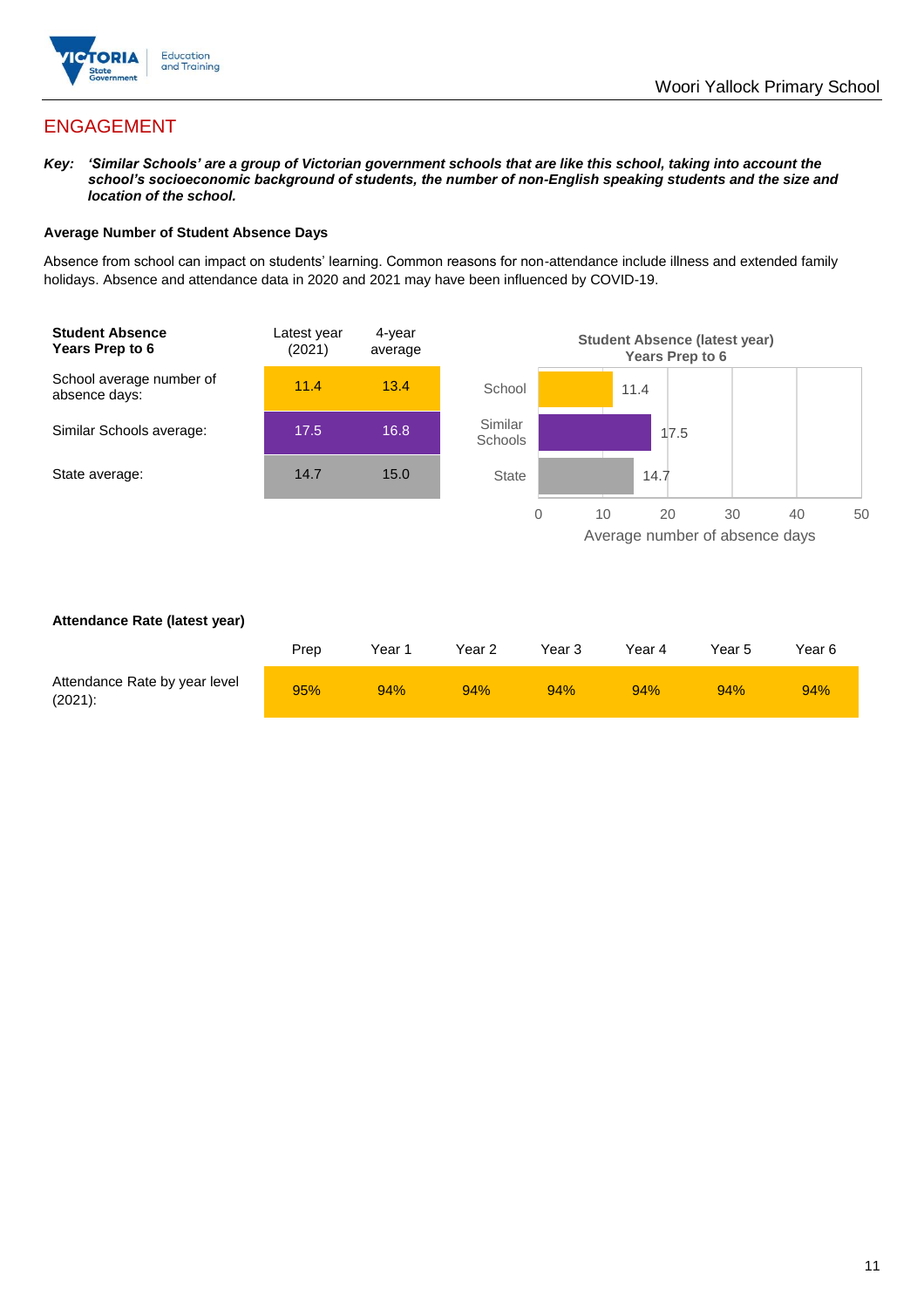

## ENGAGEMENT

*Key: 'Similar Schools' are a group of Victorian government schools that are like this school, taking into account the school's socioeconomic background of students, the number of non-English speaking students and the size and location of the school.*

#### **Average Number of Student Absence Days**

Absence from school can impact on students' learning. Common reasons for non-attendance include illness and extended family holidays. Absence and attendance data in 2020 and 2021 may have been influenced by COVID-19.



#### **Attendance Rate (latest year)**

|                                             | Prep | Year 1 | Year 2 | Year 3 | Year 4 | Year 5 | Year 6 |
|---------------------------------------------|------|--------|--------|--------|--------|--------|--------|
| Attendance Rate by year level<br>$(2021)$ : | 95%  | 94%    | 94%    | 94%    | 94%    | 94%    | 94%    |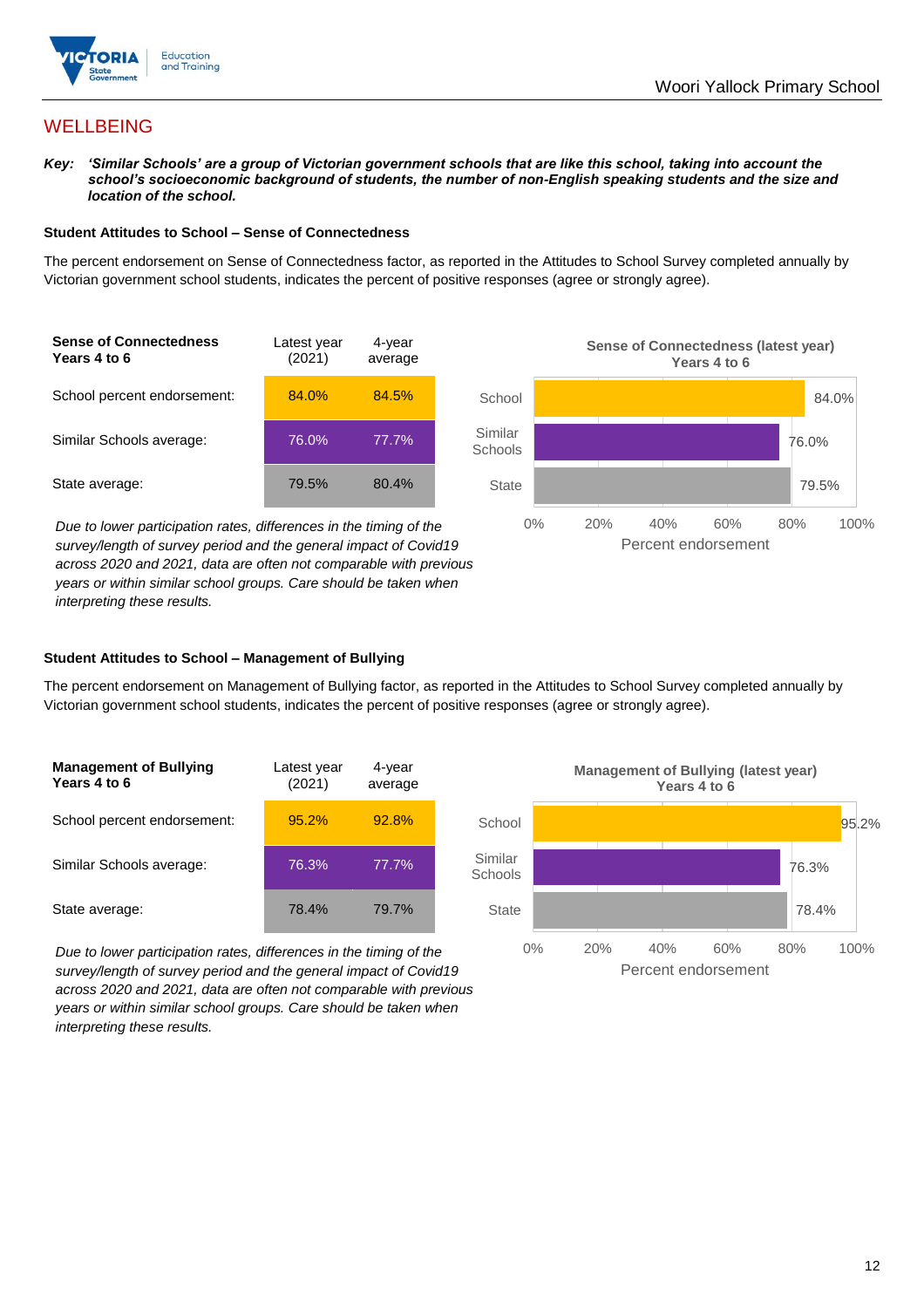

## **WELLBEING**

*Key: 'Similar Schools' are a group of Victorian government schools that are like this school, taking into account the school's socioeconomic background of students, the number of non-English speaking students and the size and location of the school.*

#### **Student Attitudes to School – Sense of Connectedness**

The percent endorsement on Sense of Connectedness factor, as reported in the Attitudes to School Survey completed annually by Victorian government school students, indicates the percent of positive responses (agree or strongly agree).



*Due to lower participation rates, differences in the timing of the survey/length of survey period and the general impact of Covid19 across 2020 and 2021, data are often not comparable with previous years or within similar school groups. Care should be taken when interpreting these results.*



#### **Student Attitudes to School – Management of Bullying**

The percent endorsement on Management of Bullying factor, as reported in the Attitudes to School Survey completed annually by Victorian government school students, indicates the percent of positive responses (agree or strongly agree).

| <b>Management of Bullying</b><br>Years 4 to 6 | Latest year<br>(2021) | 4-year<br>average |  |
|-----------------------------------------------|-----------------------|-------------------|--|
| School percent endorsement:                   | 95.2%                 | 92.8%             |  |
| Similar Schools average:                      | 76.3%                 | 77.7%             |  |
| State average:                                | 78.4%                 | 79.7%             |  |

*Due to lower participation rates, differences in the timing of the survey/length of survey period and the general impact of Covid19 across 2020 and 2021, data are often not comparable with previous years or within similar school groups. Care should be taken when interpreting these results.*

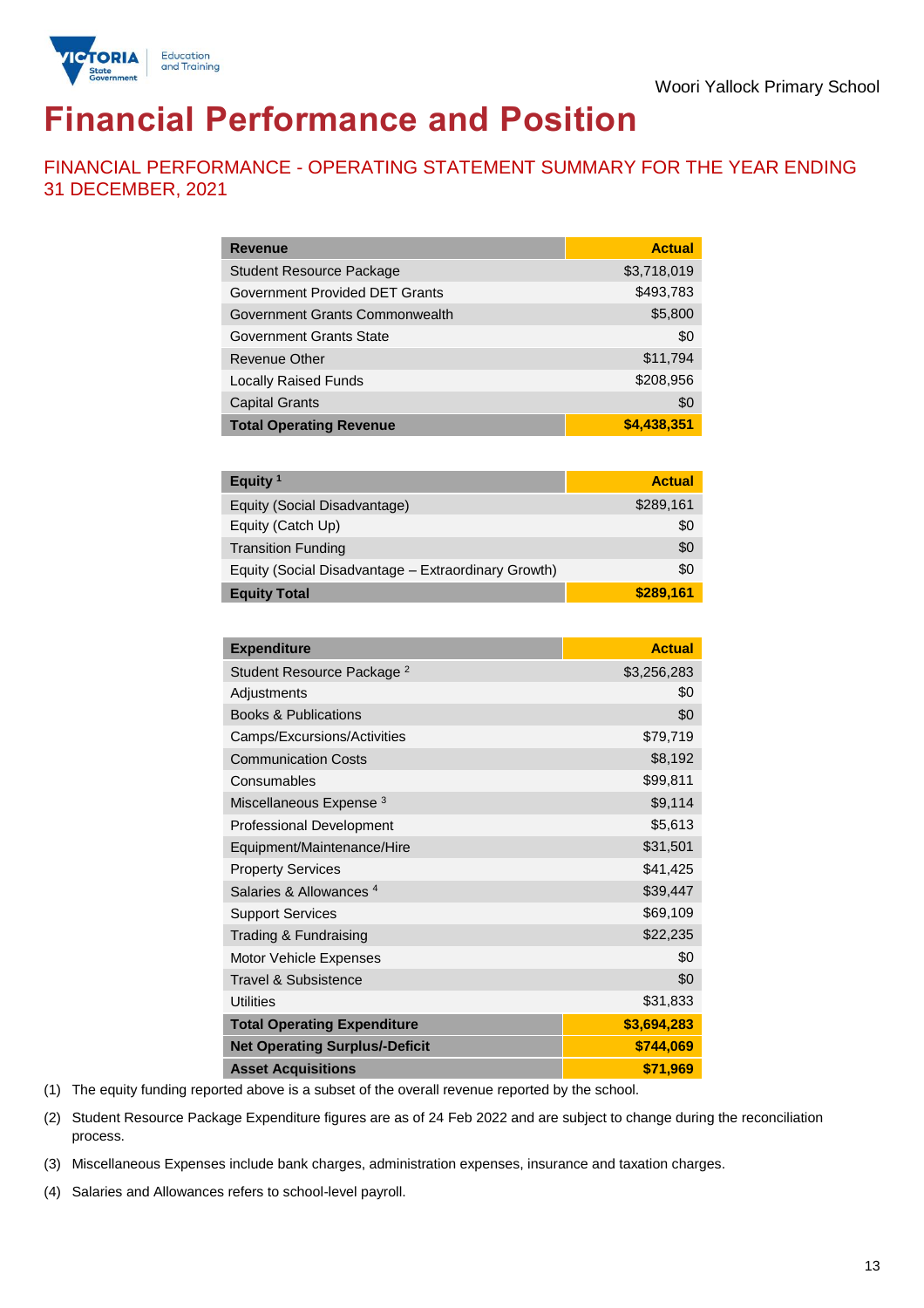

# **Financial Performance and Position**

FINANCIAL PERFORMANCE - OPERATING STATEMENT SUMMARY FOR THE YEAR ENDING 31 DECEMBER, 2021

| <b>Revenue</b>                  | <b>Actual</b> |
|---------------------------------|---------------|
| <b>Student Resource Package</b> | \$3,718,019   |
| Government Provided DET Grants  | \$493,783     |
| Government Grants Commonwealth  | \$5,800       |
| Government Grants State         | \$0           |
| Revenue Other                   | \$11,794      |
| <b>Locally Raised Funds</b>     | \$208,956     |
| <b>Capital Grants</b>           | \$0           |
| <b>Total Operating Revenue</b>  | \$4,438,351   |

| Equity <sup>1</sup>                                 | <b>Actual</b> |
|-----------------------------------------------------|---------------|
| Equity (Social Disadvantage)                        | \$289,161     |
| Equity (Catch Up)                                   | \$0           |
| <b>Transition Funding</b>                           | \$0           |
| Equity (Social Disadvantage - Extraordinary Growth) | \$0           |
| <b>Equity Total</b>                                 | \$289,161     |

| <b>Expenditure</b>                    | <b>Actual</b> |
|---------------------------------------|---------------|
| Student Resource Package <sup>2</sup> | \$3,256,283   |
| Adjustments                           | \$0           |
| <b>Books &amp; Publications</b>       | \$0           |
| Camps/Excursions/Activities           | \$79,719      |
| <b>Communication Costs</b>            | \$8,192       |
| Consumables                           | \$99,811      |
| Miscellaneous Expense <sup>3</sup>    | \$9,114       |
| <b>Professional Development</b>       | \$5,613       |
| Equipment/Maintenance/Hire            | \$31,501      |
| <b>Property Services</b>              | \$41,425      |
| Salaries & Allowances <sup>4</sup>    | \$39,447      |
| <b>Support Services</b>               | \$69,109      |
| Trading & Fundraising                 | \$22,235      |
| Motor Vehicle Expenses                | \$0           |
| Travel & Subsistence                  | \$0           |
| <b>Utilities</b>                      | \$31,833      |
| <b>Total Operating Expenditure</b>    | \$3,694,283   |
| <b>Net Operating Surplus/-Deficit</b> | \$744,069     |
| <b>Asset Acquisitions</b>             | \$71,969      |

(1) The equity funding reported above is a subset of the overall revenue reported by the school.

(2) Student Resource Package Expenditure figures are as of 24 Feb 2022 and are subject to change during the reconciliation process.

(3) Miscellaneous Expenses include bank charges, administration expenses, insurance and taxation charges.

(4) Salaries and Allowances refers to school-level payroll.